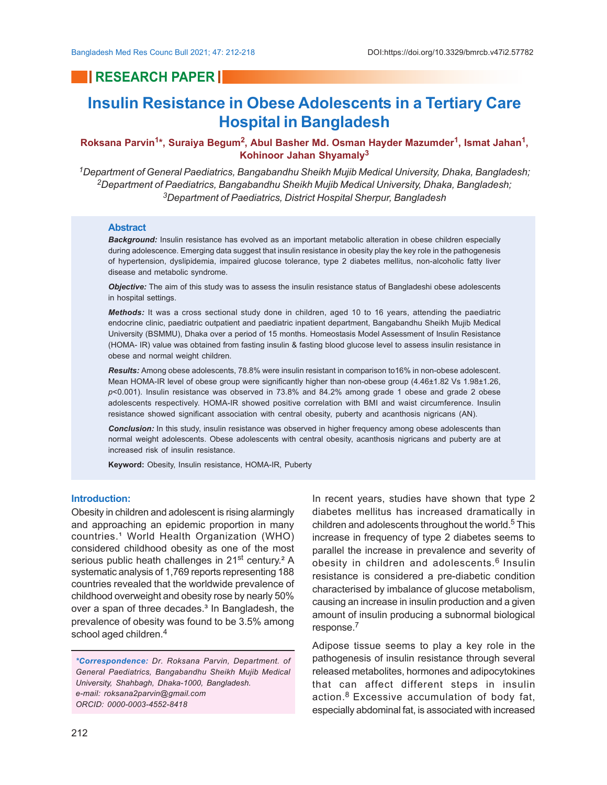## **RESEARCH PAPER**

# **Insulin Resistance in Obese Adolescents in a Tertiary Care Hospital in Bangladesh**

### **Roksana Parvin<sup>1</sup> \*, Suraiya Begum<sup>2</sup> , Abul Basher Md. Osman Hayder Mazumder<sup>1</sup> , Ismat Jahan<sup>1</sup> , Kohinoor Jahan Shyamaly<sup>3</sup>**

*<sup>1</sup>Department of General Paediatrics, Bangabandhu Sheikh Mujib Medical University, Dhaka, Bangladesh; <sup>2</sup>Department of Paediatrics, Bangabandhu Sheikh Mujib Medical University, Dhaka, Bangladesh; <sup>3</sup>Department of Paediatrics, District Hospital Sherpur, Bangladesh*

#### **Abstract**

*Background:* Insulin resistance has evolved as an important metabolic alteration in obese children especially during adolescence. Emerging data suggest that insulin resistance in obesity play the key role in the pathogenesis of hypertension, dyslipidemia, impaired glucose tolerance, type 2 diabetes mellitus, non-alcoholic fatty liver disease and metabolic syndrome.

*Objective:* The aim of this study was to assess the insulin resistance status of Bangladeshi obese adolescents in hospital settings.

*Methods:* It was a cross sectional study done in children, aged 10 to 16 years, attending the paediatric endocrine clinic, paediatric outpatient and paediatric inpatient department, Bangabandhu Sheikh Mujib Medical University (BSMMU), Dhaka over a period of 15 months. Homeostasis Model Assessment of Insulin Resistance (HOMA- IR) value was obtained from fasting insulin & fasting blood glucose level to assess insulin resistance in obese and normal weight children.

*Results:* Among obese adolescents, 78.8% were insulin resistant in comparison to16% in non-obese adolescent. Mean HOMA-IR level of obese group were significantly higher than non-obese group (4.46±1.82 Vs 1.98±1.26, *p*<0.001). Insulin resistance was observed in 73.8% and 84.2% among grade 1 obese and grade 2 obese adolescents respectively. HOMA-IR showed positive correlation with BMI and waist circumference. Insulin resistance showed significant association with central obesity, puberty and acanthosis nigricans (AN).

*Conclusion:* In this study, insulin resistance was observed in higher frequency among obese adolescents than normal weight adolescents. Obese adolescents with central obesity, acanthosis nigricans and puberty are at increased risk of insulin resistance.

**Keyword:** Obesity, Insulin resistance, HOMA-IR, Puberty

#### **Introduction:**

Obesity in children and adolescent is rising alarmingly and approaching an epidemic proportion in many countries.<sup>1</sup> World Health Organization (WHO) considered childhood obesity as one of the most serious public heath challenges in 21<sup>st</sup> century.<sup>2</sup> A systematic analysis of 1,769 reports representing 188 countries revealed that the worldwide prevalence of childhood overweight and obesity rose by nearly 50% over a span of three decades.<sup>3</sup> In Bangladesh, the prevalence of obesity was found to be 3.5% among school aged children.<sup>4</sup>

*\*Correspondence: Dr. Roksana Parvin, Department. of General Paediatrics, Bangabandhu Sheikh Mujib Medical University, Shahbagh, Dhaka-1000, Bangladesh. e-mail: roksana2parvin@gmail.com ORCID: 0000-0003-4552-8418*

In recent years, studies have shown that type 2 diabetes mellitus has increased dramatically in children and adolescents throughout the world.<sup>5</sup> This increase in frequency of type 2 diabetes seems to parallel the increase in prevalence and severity of obesity in children and adolescents.6 Insulin resistance is considered a pre-diabetic condition characterised by imbalance of glucose metabolism, causing an increase in insulin production and a given amount of insulin producing a subnormal biological response.<sup>7</sup>

Adipose tissue seems to play a key role in the pathogenesis of insulin resistance through several released metabolites, hormones and adipocytokines that can affect different steps in insulin action.<sup>8</sup> Excessive accumulation of body fat, especially abdominal fat, is associated with increased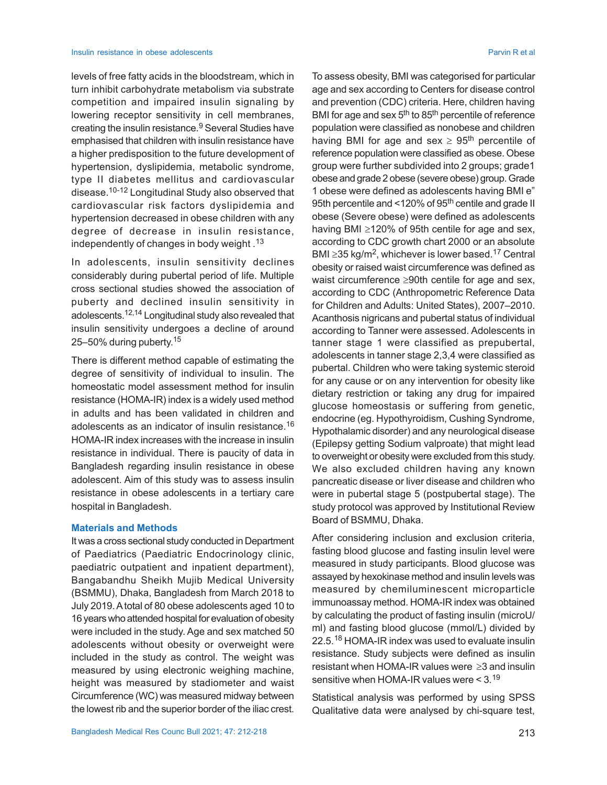levels of free fatty acids in the bloodstream, which in turn inhibit carbohydrate metabolism via substrate competition and impaired insulin signaling by lowering receptor sensitivity in cell membranes, creating the insulin resistance.<sup>9</sup> Several Studies have emphasised that children with insulin resistance have a higher predisposition to the future development of hypertension, dyslipidemia, metabolic syndrome, type II diabetes mellitus and cardiovascular disease.10-12 Longitudinal Study also observed that cardiovascular risk factors dyslipidemia and hypertension decreased in obese children with any degree of decrease in insulin resistance, independently of changes in body weight .<sup>13</sup>

In adolescents, insulin sensitivity declines considerably during pubertal period of life. Multiple cross sectional studies showed the association of puberty and declined insulin sensitivity in adolescents.12,14 Longitudinal study also revealed that insulin sensitivity undergoes a decline of around 25–50% during puberty. 15

There is different method capable of estimating the degree of sensitivity of individual to insulin. The homeostatic model assessment method for insulin resistance (HOMA-IR) index is a widely used method in adults and has been validated in children and adolescents as an indicator of insulin resistance.<sup>16</sup> HOMA-IR index increases with the increase in insulin resistance in individual. There is paucity of data in Bangladesh regarding insulin resistance in obese adolescent. Aim of this study was to assess insulin resistance in obese adolescents in a tertiary care hospital in Bangladesh.

#### **Materials and Methods**

It was a cross sectional study conducted in Department of Paediatrics (Paediatric Endocrinology clinic, paediatric outpatient and inpatient department), Bangabandhu Sheikh Mujib Medical University (BSMMU), Dhaka, Bangladesh from March 2018 to July 2019. A total of 80 obese adolescents aged 10 to 16 years who attended hospital for evaluation of obesity were included in the study. Age and sex matched 50 adolescents without obesity or overweight were included in the study as control. The weight was measured by using electronic weighing machine, height was measured by stadiometer and waist Circumference (WC) was measured midway between the lowest rib and the superior border of the iliac crest.

To assess obesity, BMI was categorised for particular age and sex according to Centers for disease control and prevention (CDC) criteria. Here, children having BMI for age and sex 5<sup>th</sup> to 85<sup>th</sup> percentile of reference population were classified as nonobese and children having BMI for age and sex  $\geq 95^{th}$  percentile of reference population were classified as obese. Obese group were further subdivided into 2 groups; grade1 obese and grade 2 obese (severe obese) group. Grade 1 obese were defined as adolescents having BMI e" 95th percentile and <120% of 95<sup>th</sup> centile and grade II obese (Severe obese) were defined as adolescents having BMI  $\geq$ 120% of 95th centile for age and sex, according to CDC growth chart 2000 or an absolute BMI  $\geq$ 35 kg/m<sup>2</sup>, whichever is lower based.<sup>17</sup> Central obesity or raised waist circumference was defined as waist circumference  $\geq 90$ th centile for age and sex, according to CDC (Anthropometric Reference Data for Children and Adults: United States), 2007–2010. Acanthosis nigricans and pubertal status of individual according to Tanner were assessed. Adolescents in tanner stage 1 were classified as prepubertal, adolescents in tanner stage 2,3,4 were classified as pubertal. Children who were taking systemic steroid for any cause or on any intervention for obesity like dietary restriction or taking any drug for impaired glucose homeostasis or suffering from genetic, endocrine (eg. Hypothyroidism, Cushing Syndrome, Hypothalamic disorder) and any neurological disease (Epilepsy getting Sodium valproate) that might lead to overweight or obesity were excluded from this study. We also excluded children having any known pancreatic disease or liver disease and children who were in pubertal stage 5 (postpubertal stage). The study protocol was approved by Institutional Review Board of BSMMU, Dhaka.

After considering inclusion and exclusion criteria, fasting blood glucose and fasting insulin level were measured in study participants. Blood glucose was assayed by hexokinase method and insulin levels was measured by chemiluminescent microparticle immunoassay method. HOMA-IR index was obtained by calculating the product of fasting insulin (microU/ ml) and fasting blood glucose (mmol/L) divided by 22.5.<sup>18</sup> HOMA-IR index was used to evaluate insulin resistance. Study subjects were defined as insulin resistant when HOMA-IR values were  $\geq$ 3 and insulin sensitive when HOMA-IR values were  $< 3.19$ 

Statistical analysis was performed by using SPSS Qualitative data were analysed by chi-square test,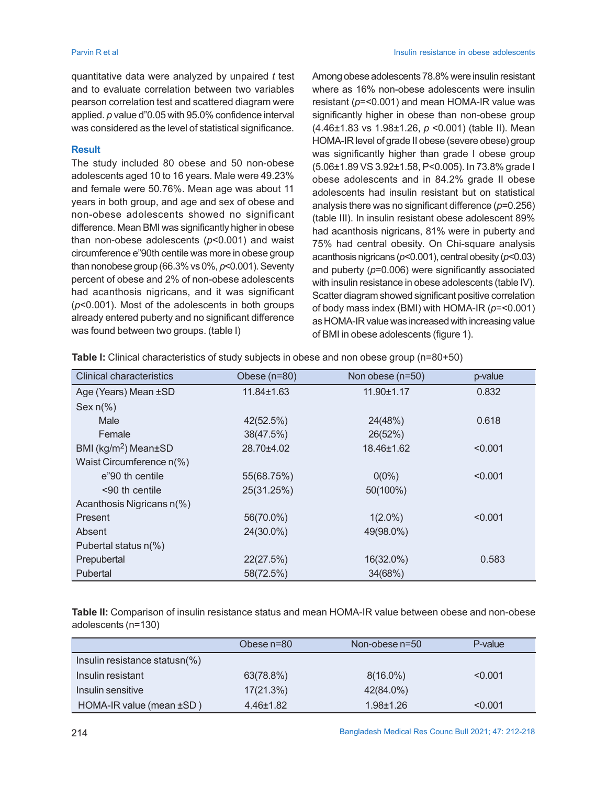quantitative data were analyzed by unpaired *t* test and to evaluate correlation between two variables pearson correlation test and scattered diagram were applied. *p* value d"0.05 with 95.0% confidence interval was considered as the level of statistical significance.

#### **Result**

The study included 80 obese and 50 non-obese adolescents aged 10 to 16 years. Male were 49.23% and female were 50.76%. Mean age was about 11 years in both group, and age and sex of obese and non-obese adolescents showed no significant difference. Mean BMI was significantly higher in obese than non-obese adolescents (*p*<0.001) and waist circumference e"90th centile was more in obese group than nonobese group (66.3% vs 0%, *p*<0.001). Seventy percent of obese and 2% of non-obese adolescents had acanthosis nigricans, and it was significant (*p*<0.001). Most of the adolescents in both groups already entered puberty and no significant difference was found between two groups. (table I)

Among obese adolescents 78.8% were insulin resistant where as 16% non-obese adolescents were insulin resistant (*p*=<0.001) and mean HOMA-IR value was significantly higher in obese than non-obese group (4.46±1.83 vs 1.98±1.26, *p* <0.001) (table II). Mean HOMA-IR level of grade II obese (severe obese) group was significantly higher than grade I obese group (5.06±1.89 VS 3.92±1.58, P<0.005). In 73.8% grade I obese adolescents and in 84.2% grade II obese adolescents had insulin resistant but on statistical analysis there was no significant difference (*p*=0.256) (table III). In insulin resistant obese adolescent 89% had acanthosis nigricans, 81% were in puberty and 75% had central obesity. On Chi-square analysis acanthosis nigricans (*p*<0.001), central obesity (*p*<0.03) and puberty (*p*=0.006) were significantly associated with insulin resistance in obese adolescents (table IV). Scatter diagram showed significant positive correlation of body mass index (BMI) with HOMA-IR (*p*=<0.001) as HOMA-IR value was increased with increasing value of BMI in obese adolescents (figure 1).

| <b>Clinical characteristics</b> | Obese (n=80) | Non obese (n=50) | p-value |
|---------------------------------|--------------|------------------|---------|
| Age (Years) Mean ±SD            | 11.84±1.63   | 11.90±1.17       | 0.832   |
| Sex $n\frac{9}{6}$              |              |                  |         |
| Male                            | 42(52.5%)    | 24(48%)          | 0.618   |
| Female                          | 38(47.5%)    | 26(52%)          |         |
| BMI ( $kg/m2$ ) Mean $\pm$ SD   | 28.70±4.02   | 18.46±1.62       | < 0.001 |
| Waist Circumference n(%)        |              |                  |         |
| e"90 th centile                 | 55(68.75%)   | $0(0\%)$         | < 0.001 |
| $< 90$ th centile               | 25(31.25%)   | 50(100%)         |         |
| Acanthosis Nigricans n(%)       |              |                  |         |
| Present                         | 56(70.0%)    | $1(2.0\%)$       | < 0.001 |
| Absent                          | 24(30.0%)    | 49(98.0%)        |         |
| Pubertal status n(%)            |              |                  |         |
| Prepubertal                     | 22(27.5%)    | 16(32.0%)        | 0.583   |
| Pubertal                        | 58(72.5%)    | 34(68%)          |         |

**Table I:** Clinical characteristics of study subjects in obese and non obese group (n=80+50)

**Table II:** Comparison of insulin resistance status and mean HOMA-IR value between obese and non-obese adolescents (n=130)

|                               | Obese n=80      | Non-obese n=50 | P-value |
|-------------------------------|-----------------|----------------|---------|
| Insulin resistance statusn(%) |                 |                |         |
| Insulin resistant             | 63(78.8%)       | $8(16.0\%)$    | < 0.001 |
| Insulin sensitive             | 17(21.3%)       | 42(84.0%)      |         |
| HOMA-IR value (mean ±SD)      | $4.46 \pm 1.82$ | $1.98 + 1.26$  | < 0.001 |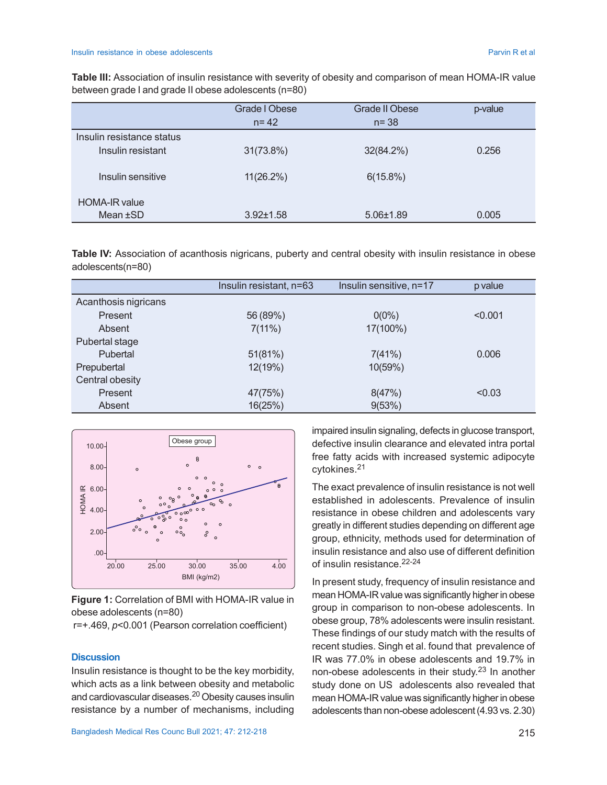**Table III:** Association of insulin resistance with severity of obesity and comparison of mean HOMA-IR value between grade I and grade II obese adolescents (n=80)

|                           | Grade I Obese   | Grade II Obese  | p-value |
|---------------------------|-----------------|-----------------|---------|
|                           | $n = 42$        | $n = 38$        |         |
| Insulin resistance status |                 |                 |         |
| Insulin resistant         | 31(73.8%)       | 32(84.2%)       | 0.256   |
| Insulin sensitive         | $11(26.2\%)$    | 6(15.8%)        |         |
| <b>HOMA-IR value</b>      |                 |                 |         |
| Mean $\pm$ SD             | $3.92 \pm 1.58$ | $5.06 \pm 1.89$ | 0.005   |

**Table IV:** Association of acanthosis nigricans, puberty and central obesity with insulin resistance in obese adolescents(n=80)

|                      | Insulin resistant, n=63 | Insulin sensitive, n=17 | p value |
|----------------------|-------------------------|-------------------------|---------|
| Acanthosis nigricans |                         |                         |         |
| Present              | 56 (89%)                | $0(0\%)$                | < 0.001 |
| Absent               | 7(11%)                  | 17(100%)                |         |
| Pubertal stage       |                         |                         |         |
| Pubertal             | 51(81%)                 | 7(41%)                  | 0.006   |
| Prepubertal          | 12(19%)                 | 10(59%)                 |         |
| Central obesity      |                         |                         |         |
| Present              | 47(75%)                 | 8(47%)                  | < 0.03  |
| Absent               | 16(25%)                 | 9(53%)                  |         |



**Figure 1:** Correlation of BMI with HOMA-IR value in obese adolescents (n=80)

r=+.469, *p*<0.001 (Pearson correlation coefficient)

#### **Discussion**

Insulin resistance is thought to be the key morbidity, which acts as a link between obesity and metabolic and cardiovascular diseases.20 Obesity causes insulin resistance by a number of mechanisms, including impaired insulin signaling, defects in glucose transport, defective insulin clearance and elevated intra portal free fatty acids with increased systemic adipocyte cytokines.<sup>21</sup>

The exact prevalence of insulin resistance is not well established in adolescents. Prevalence of insulin resistance in obese children and adolescents vary greatly in different studies depending on different age group, ethnicity, methods used for determination of insulin resistance and also use of different definition of insulin resistance.22-24

In present study, frequency of insulin resistance and mean HOMA-IR value was significantly higher in obese group in comparison to non-obese adolescents. In obese group, 78% adolescents were insulin resistant. These findings of our study match with the results of recent studies. Singh et al. found that prevalence of IR was 77.0% in obese adolescents and 19.7% in non-obese adolescents in their study. <sup>23</sup> In another study done on US adolescents also revealed that mean HOMA-IR value was significantly higher in obese adolescents than non-obese adolescent (4.93 vs. 2.30)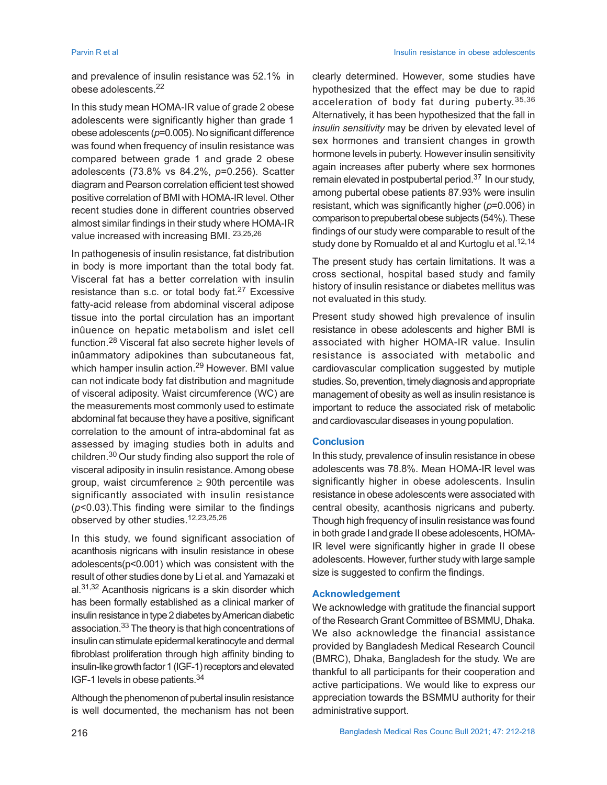and prevalence of insulin resistance was 52.1% in obese adolescents.<sup>22</sup>

In this study mean HOMA-IR value of grade 2 obese adolescents were significantly higher than grade 1 obese adolescents (*p*=0.005). No significant difference was found when frequency of insulin resistance was compared between grade 1 and grade 2 obese adolescents (73.8% vs 84.2%, *p*=0.256). Scatter diagram and Pearson correlation efficient test showed positive correlation of BMI with HOMA-IR level. Other recent studies done in different countries observed almost similar findings in their study where HOMA-IR value increased with increasing BMI. 23,25,26

In pathogenesis of insulin resistance, fat distribution in body is more important than the total body fat. Visceral fat has a better correlation with insulin resistance than s.c. or total body fat.<sup>27</sup> Excessive fatty-acid release from abdominal visceral adipose tissue into the portal circulation has an important inûuence on hepatic metabolism and islet cell function.28 Visceral fat also secrete higher levels of inûammatory adipokines than subcutaneous fat, which hamper insulin action.<sup>29</sup> However. BMI value can not indicate body fat distribution and magnitude of visceral adiposity. Waist circumference (WC) are the measurements most commonly used to estimate abdominal fat because they have a positive, significant correlation to the amount of intra-abdominal fat as assessed by imaging studies both in adults and children.30 Our study finding also support the role of visceral adiposity in insulin resistance. Among obese group, waist circumference  $\geq 90$ th percentile was significantly associated with insulin resistance (*p*<0.03).This finding were similar to the findings observed by other studies.12,23,25,26

In this study, we found significant association of acanthosis nigricans with insulin resistance in obese adolescents(p<0.001) which was consistent with the result of other studies done by Li et al. and Yamazaki et  $al.$ <sup>31,32</sup> Acanthosis nigricans is a skin disorder which has been formally established as a clinical marker of insulin resistance in type 2 diabetes by American diabetic association.33 The theory is that high concentrations of insulin can stimulate epidermal keratinocyte and dermal fibroblast proliferation through high affinity binding to insulin-like growth factor 1 (IGF-1) receptors and elevated IGF-1 levels in obese patients.<sup>34</sup>

Although the phenomenon of pubertal insulin resistance is well documented, the mechanism has not been

clearly determined. However, some studies have hypothesized that the effect may be due to rapid acceleration of body fat during puberty. 35,36 Alternatively, it has been hypothesized that the fall in *insulin sensitivity* may be driven by elevated level of sex hormones and transient changes in growth hormone levels in puberty. However insulin sensitivity again increases after puberty where sex hormones remain elevated in postpubertal period.<sup>37</sup> In our study, among pubertal obese patients 87.93% were insulin resistant, which was significantly higher (*p*=0.006) in comparison to prepubertal obese subjects (54%). These findings of our study were comparable to result of the study done by Romualdo et al and Kurtoglu et al.<sup>12,14</sup>

The present study has certain limitations. It was a cross sectional, hospital based study and family history of insulin resistance or diabetes mellitus was not evaluated in this study.

Present study showed high prevalence of insulin resistance in obese adolescents and higher BMI is associated with higher HOMA-IR value. Insulin resistance is associated with metabolic and cardiovascular complication suggested by mutiple studies. So, prevention, timely diagnosis and appropriate management of obesity as well as insulin resistance is important to reduce the associated risk of metabolic and cardiovascular diseases in young population.

#### **Conclusion**

In this study, prevalence of insulin resistance in obese adolescents was 78.8%. Mean HOMA-IR level was significantly higher in obese adolescents. Insulin resistance in obese adolescents were associated with central obesity, acanthosis nigricans and puberty. Though high frequency of insulin resistance was found in both grade I and grade II obese adolescents, HOMA-IR level were significantly higher in grade II obese adolescents. However, further study with large sample size is suggested to confirm the findings.

### **Acknowledgement**

We acknowledge with gratitude the financial support of the Research Grant Committee of BSMMU, Dhaka. We also acknowledge the financial assistance provided by Bangladesh Medical Research Council (BMRC), Dhaka, Bangladesh for the study. We are thankful to all participants for their cooperation and active participations. We would like to express our appreciation towards the BSMMU authority for their administrative support.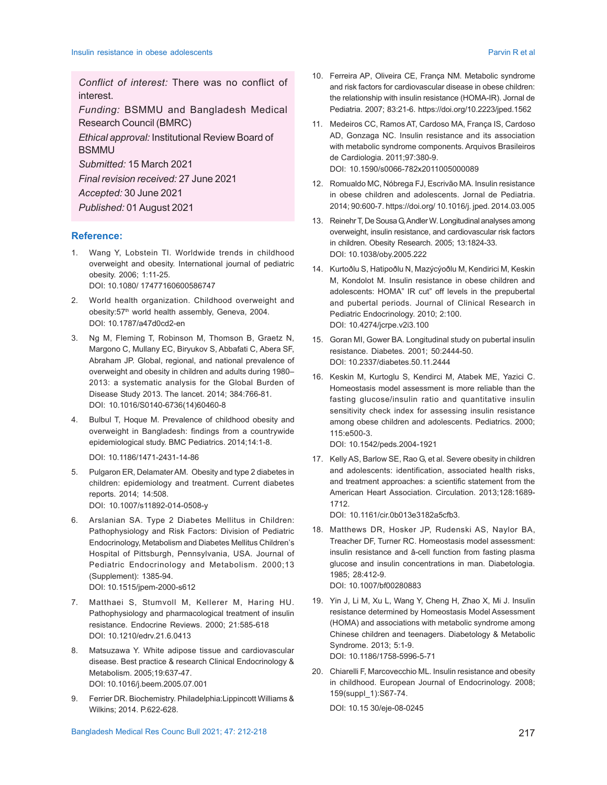*Conflict of interest:* There was no conflict of interest.

*Funding:* BSMMU and Bangladesh Medical Research Council (BMRC)

*Ethical approval:* Institutional Review Board of **BSMMU** 

*Submitted:* 15 March 2021

*Final revision received:* 27 June 2021

*Accepted:* 30 June 2021

*Published:* 01 August 2021

#### **Reference:**

- 1. Wang Y, Lobstein TI. Worldwide trends in childhood overweight and obesity. International journal of pediatric obesity. 2006; 1:11-25. DOI: 10.1080/ 17477160600586747
- 2. World health organization. Childhood overweight and obesity:57<sup>th</sup> world health assembly, Geneva, 2004. DOI: 10.1787/a47d0cd2-en
- 3. Ng M, Fleming T, Robinson M, Thomson B, Graetz N, Margono C, Mullany EC, Biryukov S, Abbafati C, Abera SF, Abraham JP. Global, regional, and national prevalence of overweight and obesity in children and adults during 1980– 2013: a systematic analysis for the Global Burden of Disease Study 2013. The lancet. 2014; 384:766-81. DOI: 10.1016/S0140-6736(14)60460-8
- 4. Bulbul T, Hoque M. Prevalence of childhood obesity and overweight in Bangladesh: findings from a countrywide epidemiological study. BMC Pediatrics. 2014;14:1-8.

DOI: 10.1186/1471-2431-14-86

- 5. Pulgaron ER, Delamater AM. Obesity and type 2 diabetes in children: epidemiology and treatment. Current diabetes reports. 2014; 14:508. DOI: 10.1007/s11892-014-0508-y
- 6. Arslanian SA. Type 2 Diabetes Mellitus in Children: Pathophysiology and Risk Factors: Division of Pediatric Endocrinology, Metabolism and Diabetes Mellitus Children's Hospital of Pittsburgh, Pennsylvania, USA. Journal of Pediatric Endocrinology and Metabolism. 2000;13 (Supplement): 1385-94. DOI: 10.1515/jpem-2000-s612
- 7. Matthaei S, Stumvoll M, Kellerer M, Haring HU. Pathophysiology and pharmacological treatment of insulin resistance. Endocrine Reviews. 2000; 21:585-618 DOI: 10.1210/edrv.21.6.0413
- 8. Matsuzawa Y. White adipose tissue and cardiovascular disease. Best practice & research Clinical Endocrinology & Metabolism. 2005;19:637-47. DOI: 10.1016/j.beem.2005.07.001
- 9. Ferrier DR. Biochemistry. Philadelphia:Lippincott Williams & Wilkins; 2014. P.622-628.
- 10. Ferreira AP, Oliveira CE, França NM. Metabolic syndrome and risk factors for cardiovascular disease in obese children: the relationship with insulin resistance (HOMA-IR). Jornal de Pediatria. 2007; 83:21-6. https://doi.org/10.2223/jped.1562
- 11. Medeiros CC, Ramos AT, Cardoso MA, França IS, Cardoso AD, Gonzaga NC. Insulin resistance and its association with metabolic syndrome components. Arquivos Brasileiros de Cardiologia. 2011;97:380-9. DOI: 10.1590/s0066-782x2011005000089
- 12. Romualdo MC, Nóbrega FJ, Escrivão MA. Insulin resistance in obese children and adolescents. Jornal de Pediatria. 2014; 90:600-7. https://doi.org/ 10.1016/j. jped. 2014.03.005
- 13. Reinehr T, De Sousa G, Andler W. Longitudinal analyses among overweight, insulin resistance, and cardiovascular risk factors in children. Obesity Research. 2005; 13:1824-33. DOI: 10.1038/oby.2005.222
- 14. Kurtoðlu S, Hatipoðlu N, Mazýcýoðlu M, Kendirici M, Keskin M, Kondolot M. Insulin resistance in obese children and adolescents: HOMA" IR cut" off levels in the prepubertal and pubertal periods. Journal of Clinical Research in Pediatric Endocrinology. 2010; 2:100. DOI: 10.4274/jcrpe.v2i3.100
- 15. Goran MI, Gower BA. Longitudinal study on pubertal insulin resistance. Diabetes. 2001; 50:2444-50. DOI: 10.2337/diabetes.50.11.2444
- 16. Keskin M, Kurtoglu S, Kendirci M, Atabek ME, Yazici C. Homeostasis model assessment is more reliable than the fasting glucose/insulin ratio and quantitative insulin sensitivity check index for assessing insulin resistance among obese children and adolescents. Pediatrics. 2000; 115:e500-3.

DOI: 10.1542/peds.2004-1921

17. Kelly AS, Barlow SE, Rao G, et al. Severe obesity in children and adolescents: identification, associated health risks, and treatment approaches: a scientific statement from the American Heart Association. Circulation. 2013;128:1689- 1712.

DOI: 10.1161/cir.0b013e3182a5cfb3.

- 18. Matthews DR, Hosker JP, Rudenski AS, Naylor BA, Treacher DF, Turner RC. Homeostasis model assessment: insulin resistance and â-cell function from fasting plasma glucose and insulin concentrations in man. Diabetologia. 1985; 28:412-9. DOI: 10.1007/bf00280883
- 19. Yin J, Li M, Xu L, Wang Y, Cheng H, Zhao X, Mi J. Insulin resistance determined by Homeostasis Model Assessment (HOMA) and associations with metabolic syndrome among Chinese children and teenagers. Diabetology & Metabolic Syndrome. 2013; 5:1-9. DOI: 10.1186/1758-5996-5-71
- 20. Chiarelli F, Marcovecchio ML. Insulin resistance and obesity in childhood. European Journal of Endocrinology. 2008; 159(suppl\_1):S67-74.

DOI: 10.15 30/eje-08-0245